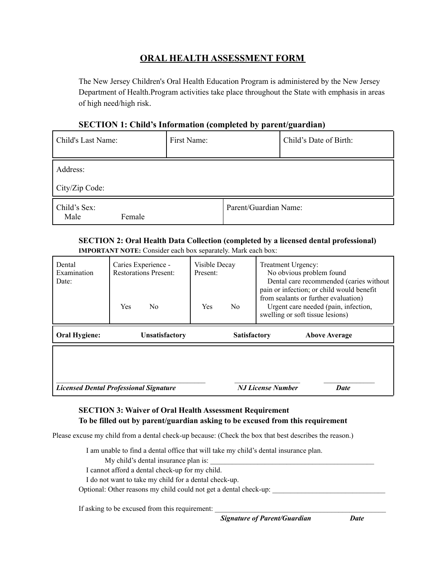## **ORAL HEALTH ASSESSMENT FORM**

The New Jersey Children's Oral Health Education Program is administered by the New Jersey Department of Health.Program activities take place throughout the State with emphasis in areas of high need/high risk.

### **SECTION 1: Child's Information (completed by parent/guardian)**

| Child's Last Name:             | First Name:           | Child's Date of Birth: |
|--------------------------------|-----------------------|------------------------|
| Address:<br>City/Zip Code:     |                       |                        |
| Child's Sex:<br>Male<br>Female | Parent/Guardian Name: |                        |

#### **SECTION 2: Oral Health Data Collection (completed by a licensed dental professional) IMPORTANT NOTE:** Consider each box separately. Mark each box:

| Dental<br>Examination<br>Date:                | Caries Experience -<br><b>Restorations Present:</b><br>Yes<br>No. | Visible Decay<br>Present:<br><b>Yes</b><br>N <sub>0</sub> | Treatment Urgency:<br>No obvious problem found<br>Dental care recommended (caries without<br>pain or infection; or child would benefit<br>from sealants or further evaluation)<br>Urgent care needed (pain, infection,<br>swelling or soft tissue lesions) |
|-----------------------------------------------|-------------------------------------------------------------------|-----------------------------------------------------------|------------------------------------------------------------------------------------------------------------------------------------------------------------------------------------------------------------------------------------------------------------|
| <b>Oral Hygiene:</b>                          | <b>Unsatisfactory</b>                                             | <b>Satisfactory</b>                                       | <b>Above Average</b>                                                                                                                                                                                                                                       |
| <b>Licensed Dental Professional Signature</b> |                                                                   |                                                           | <b>N.J License Number</b><br><b>Date</b>                                                                                                                                                                                                                   |

## **SECTION 3: Waiver of Oral Health Assessment Requirement To be filled out by parent/guardian asking to be excused from this requirement**

Please excuse my child from a dental check-up because: (Check the box that best describes the reason.)

I am unable to find a dental office that will take my child's dental insurance plan.

My child's dental insurance plan is:

I cannot afford a dental check-up for my child.

I do not want to take my child for a dental check-up.

Optional: Other reasons my child could not get a dental check-up:

If asking to be excused from this requirement:

*Signature of Parent/Guardian Date*